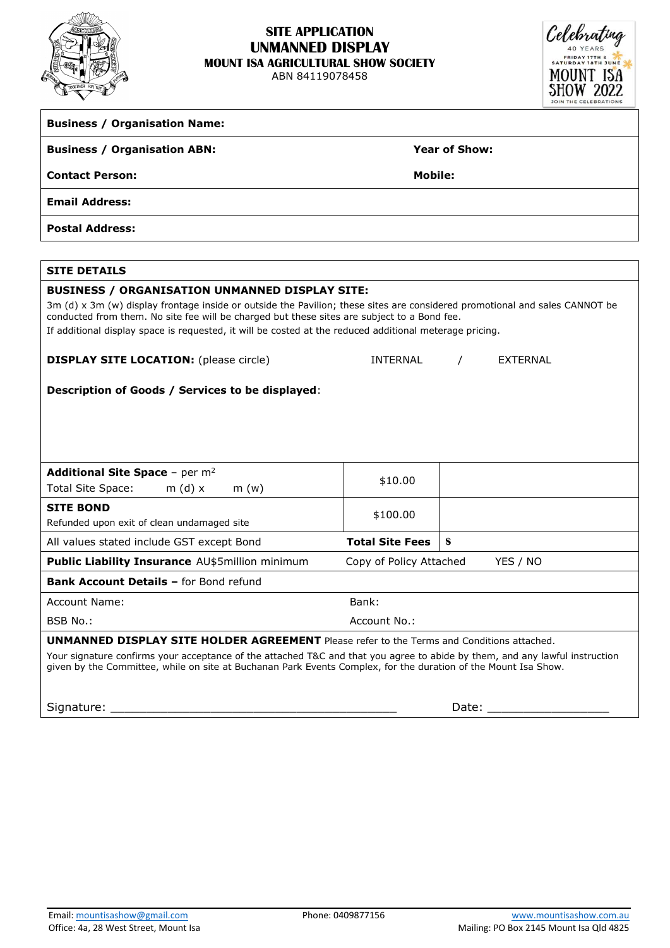

## **SITE APPLICATION UNMANNED DISPLAY MOUNT ISA AGRICULTURAL SHOW SOCIETY**

ABN 84119078458



| <b>Business / Organisation Name:</b>                                                                                                                                                                                                                                                                                                                                                           |                                                |  |  |  |
|------------------------------------------------------------------------------------------------------------------------------------------------------------------------------------------------------------------------------------------------------------------------------------------------------------------------------------------------------------------------------------------------|------------------------------------------------|--|--|--|
| <b>Business / Organisation ABN:</b>                                                                                                                                                                                                                                                                                                                                                            | <b>Year of Show:</b>                           |  |  |  |
| <b>Contact Person:</b>                                                                                                                                                                                                                                                                                                                                                                         | <b>Mobile:</b>                                 |  |  |  |
| <b>Email Address:</b>                                                                                                                                                                                                                                                                                                                                                                          |                                                |  |  |  |
| <b>Postal Address:</b>                                                                                                                                                                                                                                                                                                                                                                         |                                                |  |  |  |
|                                                                                                                                                                                                                                                                                                                                                                                                |                                                |  |  |  |
| <b>SITE DETAILS</b>                                                                                                                                                                                                                                                                                                                                                                            |                                                |  |  |  |
| <b>BUSINESS / ORGANISATION UNMANNED DISPLAY SITE:</b><br>3m (d) x 3m (w) display frontage inside or outside the Pavilion; these sites are considered promotional and sales CANNOT be<br>conducted from them. No site fee will be charged but these sites are subject to a Bond fee.<br>If additional display space is requested, it will be costed at the reduced additional meterage pricing. |                                                |  |  |  |
| <b>DISPLAY SITE LOCATION:</b> (please circle)                                                                                                                                                                                                                                                                                                                                                  | <b>INTERNAL</b><br><b>EXTERNAL</b><br>$\prime$ |  |  |  |
| Description of Goods / Services to be displayed:                                                                                                                                                                                                                                                                                                                                               |                                                |  |  |  |
| <b>Additional Site Space - per m<sup>2</sup></b><br><b>Total Site Space:</b><br>m (d) $x$<br>m(w)                                                                                                                                                                                                                                                                                              | \$10.00                                        |  |  |  |
| <b>SITE BOND</b><br>Refunded upon exit of clean undamaged site                                                                                                                                                                                                                                                                                                                                 | \$100.00                                       |  |  |  |
| All values stated include GST except Bond                                                                                                                                                                                                                                                                                                                                                      | \$<br><b>Total Site Fees</b>                   |  |  |  |
| Public Liability Insurance AU\$5million minimum                                                                                                                                                                                                                                                                                                                                                | YES / NO<br>Copy of Policy Attached            |  |  |  |
| Bank Account Details - for Bond refund                                                                                                                                                                                                                                                                                                                                                         |                                                |  |  |  |
| Account Name:                                                                                                                                                                                                                                                                                                                                                                                  | Bank:                                          |  |  |  |
| BSB No.:                                                                                                                                                                                                                                                                                                                                                                                       | Account No.:                                   |  |  |  |
| <b>UNMANNED DISPLAY SITE HOLDER AGREEMENT</b> Please refer to the Terms and Conditions attached.<br>Your signature confirms your acceptance of the attached T&C and that you agree to abide by them, and any lawful instruction<br>given by the Committee, while on site at Buchanan Park Events Complex, for the duration of the Mount Isa Show.<br>Signature:                                | Date:                                          |  |  |  |